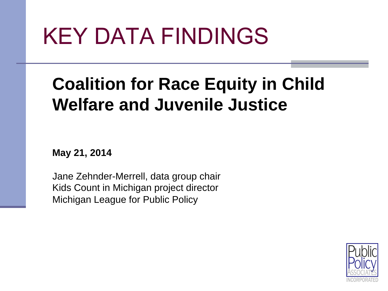# KEY DATA FINDINGS

#### **Coalition for Race Equity in Child Welfare and Juvenile Justice**

**May 21, 2014** 

Jane Zehnder-Merrell, data group chair Kids Count in Michigan project director Michigan League for Public Policy

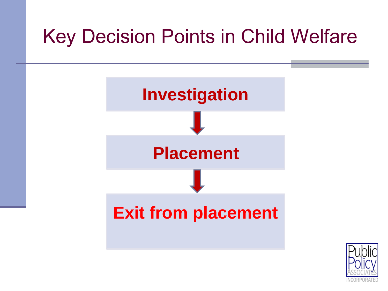# Key Decision Points in Child Welfare



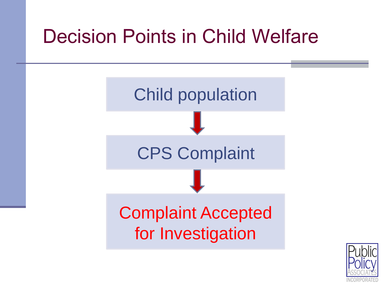# Decision Points in Child Welfare



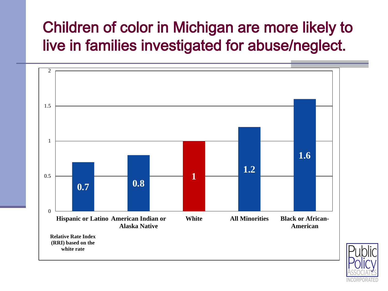#### Children of color in Michigan are more likely to live in families investigated for abuse/neglect.



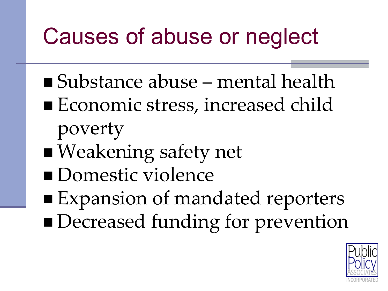# Causes of abuse or neglect

- Substance abuse mental health
- Economic stress, increased child poverty
- Weakening safety net
- **Domestic violence**
- Expansion of mandated reporters **Decreased funding for prevention**

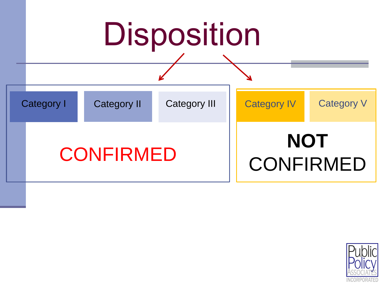

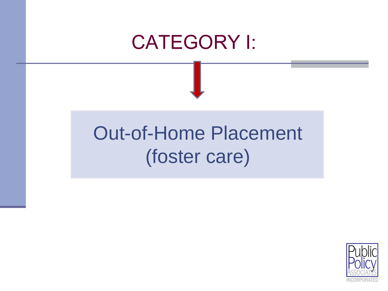#### CATEGORY I:

# Out-of-Home Placement (foster care)

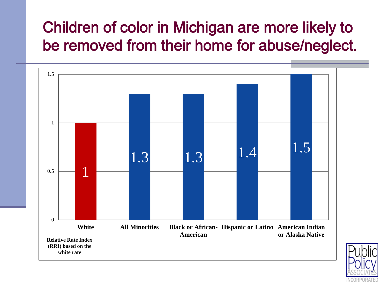#### Children of color in Michigan are more likely to be removed from their home for abuse/neglect.



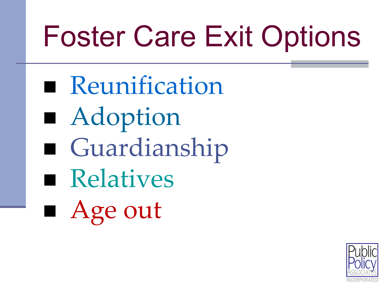# Foster Care Exit Options

- **Reunification**
- Adoption
- Guardianship
- **Relatives**
- Age out

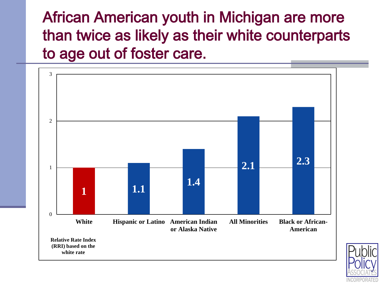African American youth in Michigan are more than twice as likely as their white counterparts to age out of foster care.



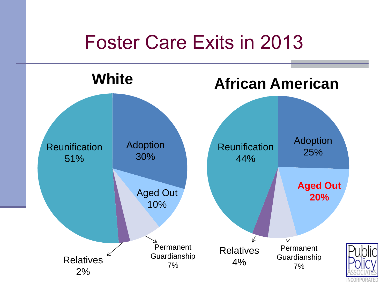## Foster Care Exits in 2013

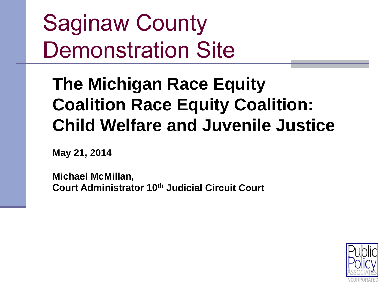Saginaw County Demonstration Site

### **The Michigan Race Equity Coalition Race Equity Coalition: Child Welfare and Juvenile Justice**

**May 21, 2014** 

**Michael McMillan, Court Administrator 10th Judicial Circuit Court**

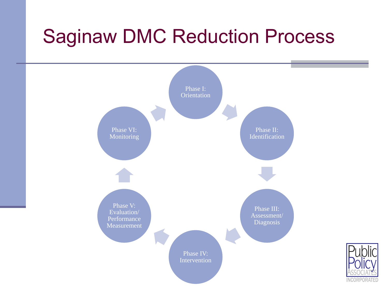# Saginaw DMC Reduction Process

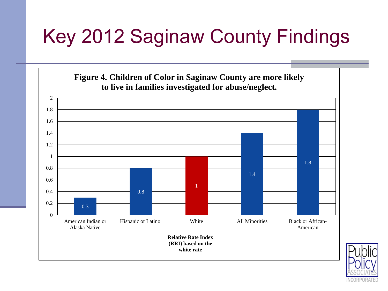# Key 2012 Saginaw County Findings



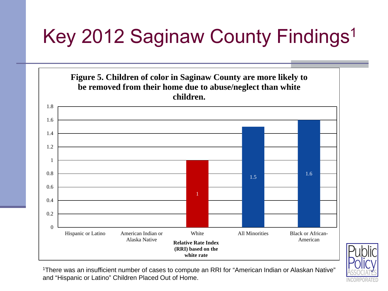# Key 2012 Saginaw County Findings<sup>1</sup>





1There was an insufficient number of cases to compute an RRI for "American Indian or Alaskan Native" and "Hispanic or Latino" Children Placed Out of Home.